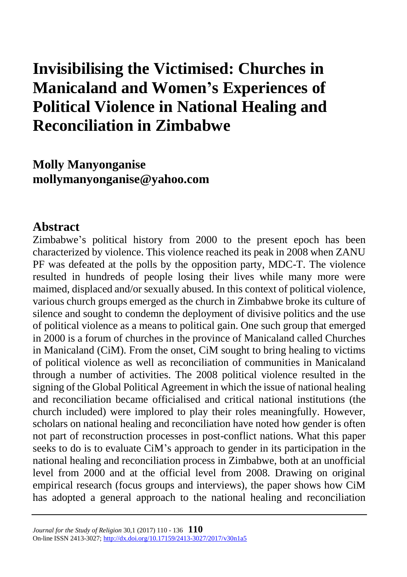# **Invisibilising the Victimised: Churches in Manicaland and Women's Experiences of Political Violence in National Healing and Reconciliation in Zimbabwe**

**Molly Manyonganise mollymanyonganise@yahoo.com**

### **Abstract**

Zimbabwe's political history from 2000 to the present epoch has been characterized by violence. This violence reached its peak in 2008 when ZANU PF was defeated at the polls by the opposition party, MDC-T. The violence resulted in hundreds of people losing their lives while many more were maimed, displaced and/or sexually abused. In this context of political violence, various church groups emerged as the church in Zimbabwe broke its culture of silence and sought to condemn the deployment of divisive politics and the use of political violence as a means to political gain. One such group that emerged in 2000 is a forum of churches in the province of Manicaland called Churches in Manicaland (CiM). From the onset, CiM sought to bring healing to victims of political violence as well as reconciliation of communities in Manicaland through a number of activities. The 2008 political violence resulted in the signing of the Global Political Agreement in which the issue of national healing and reconciliation became officialised and critical national institutions (the church included) were implored to play their roles meaningfully. However, scholars on national healing and reconciliation have noted how gender is often not part of reconstruction processes in post-conflict nations. What this paper seeks to do is to evaluate CiM's approach to gender in its participation in the national healing and reconciliation process in Zimbabwe, both at an unofficial level from 2000 and at the official level from 2008. Drawing on original empirical research (focus groups and interviews), the paper shows how CiM has adopted a general approach to the national healing and reconciliation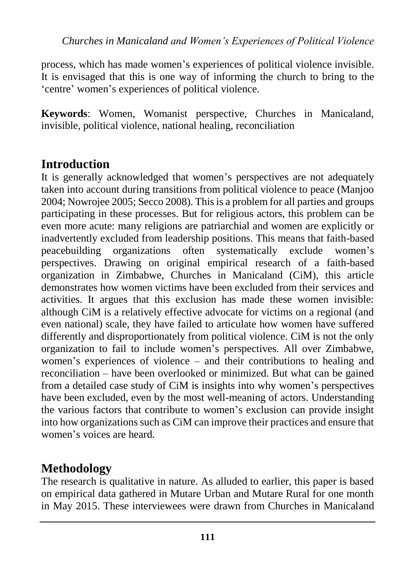process, which has made women's experiences of political violence invisible. It is envisaged that this is one way of informing the church to bring to the 'centre' women's experiences of political violence.

**Keywords**: Women, Womanist perspective, Churches in Manicaland, invisible, political violence, national healing, reconciliation

# **Introduction**

It is generally acknowledged that women's perspectives are not adequately taken into account during transitions from political violence to peace (Manjoo 2004; Nowrojee 2005; Secco 2008). This is a problem for all parties and groups participating in these processes. But for religious actors, this problem can be even more acute: many religions are patriarchial and women are explicitly or inadvertently excluded from leadership positions. This means that faith-based peacebuilding organizations often systematically exclude women's perspectives. Drawing on original empirical research of a faith-based organization in Zimbabwe, Churches in Manicaland (CiM), this article demonstrates how women victims have been excluded from their services and activities. It argues that this exclusion has made these women invisible: although CiM is a relatively effective advocate for victims on a regional (and even national) scale, they have failed to articulate how women have suffered differently and disproportionately from political violence. CiM is not the only organization to fail to include women's perspectives. All over Zimbabwe, women's experiences of violence – and their contributions to healing and reconciliation – have been overlooked or minimized. But what can be gained from a detailed case study of CiM is insights into why women's perspectives have been excluded, even by the most well-meaning of actors. Understanding the various factors that contribute to women's exclusion can provide insight into how organizations such as CiM can improve their practices and ensure that women's voices are heard.

# **Methodology**

The research is qualitative in nature. As alluded to earlier, this paper is based on empirical data gathered in Mutare Urban and Mutare Rural for one month in May 2015. These interviewees were drawn from Churches in Manicaland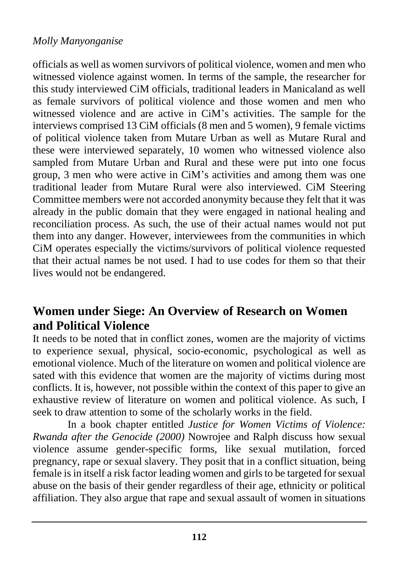officials as well as women survivors of political violence, women and men who witnessed violence against women. In terms of the sample, the researcher for this study interviewed CiM officials, traditional leaders in Manicaland as well as female survivors of political violence and those women and men who witnessed violence and are active in CiM's activities. The sample for the interviews comprised 13 CiM officials (8 men and 5 women), 9 female victims of political violence taken from Mutare Urban as well as Mutare Rural and these were interviewed separately, 10 women who witnessed violence also sampled from Mutare Urban and Rural and these were put into one focus group, 3 men who were active in CiM's activities and among them was one traditional leader from Mutare Rural were also interviewed. CiM Steering Committee members were not accorded anonymity because they felt that it was already in the public domain that they were engaged in national healing and reconciliation process. As such, the use of their actual names would not put them into any danger. However, interviewees from the communities in which CiM operates especially the victims/survivors of political violence requested that their actual names be not used. I had to use codes for them so that their lives would not be endangered.

### **Women under Siege: An Overview of Research on Women and Political Violence**

It needs to be noted that in conflict zones, women are the majority of victims to experience sexual, physical, socio-economic, psychological as well as emotional violence. Much of the literature on women and political violence are sated with this evidence that women are the majority of victims during most conflicts. It is, however, not possible within the context of this paper to give an exhaustive review of literature on women and political violence. As such, I seek to draw attention to some of the scholarly works in the field.

In a book chapter entitled *Justice for Women Victims of Violence: Rwanda after the Genocide (2000)* Nowrojee and Ralph discuss how sexual violence assume gender-specific forms, like sexual mutilation, forced pregnancy, rape or sexual slavery. They posit that in a conflict situation, being female is in itself a risk factor leading women and girls to be targeted for sexual abuse on the basis of their gender regardless of their age, ethnicity or political affiliation. They also argue that rape and sexual assault of women in situations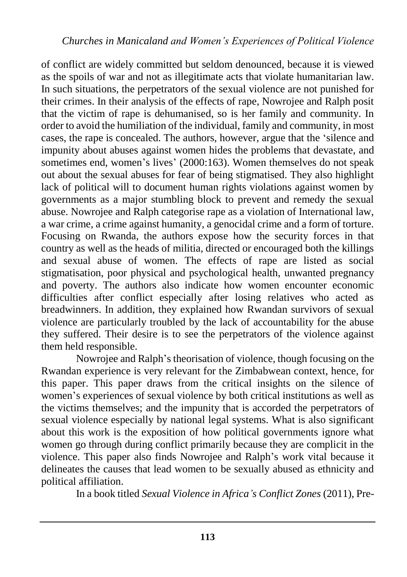of conflict are widely committed but seldom denounced, because it is viewed as the spoils of war and not as illegitimate acts that violate humanitarian law. In such situations, the perpetrators of the sexual violence are not punished for their crimes. In their analysis of the effects of rape, Nowrojee and Ralph posit that the victim of rape is dehumanised, so is her family and community. In order to avoid the humiliation of the individual, family and community, in most cases, the rape is concealed. The authors, however, argue that the 'silence and impunity about abuses against women hides the problems that devastate, and sometimes end, women's lives' (2000:163). Women themselves do not speak out about the sexual abuses for fear of being stigmatised. They also highlight lack of political will to document human rights violations against women by governments as a major stumbling block to prevent and remedy the sexual abuse. Nowrojee and Ralph categorise rape as a violation of International law, a war crime, a crime against humanity, a genocidal crime and a form of torture. Focusing on Rwanda, the authors expose how the security forces in that country as well as the heads of militia, directed or encouraged both the killings and sexual abuse of women. The effects of rape are listed as social stigmatisation, poor physical and psychological health, unwanted pregnancy and poverty. The authors also indicate how women encounter economic difficulties after conflict especially after losing relatives who acted as breadwinners. In addition, they explained how Rwandan survivors of sexual violence are particularly troubled by the lack of accountability for the abuse they suffered. Their desire is to see the perpetrators of the violence against them held responsible.

Nowrojee and Ralph's theorisation of violence, though focusing on the Rwandan experience is very relevant for the Zimbabwean context, hence, for this paper. This paper draws from the critical insights on the silence of women's experiences of sexual violence by both critical institutions as well as the victims themselves; and the impunity that is accorded the perpetrators of sexual violence especially by national legal systems. What is also significant about this work is the exposition of how political governments ignore what women go through during conflict primarily because they are complicit in the violence. This paper also finds Nowrojee and Ralph's work vital because it delineates the causes that lead women to be sexually abused as ethnicity and political affiliation.

In a book titled *Sexual Violence in Africa's Conflict Zones* (2011), Pre-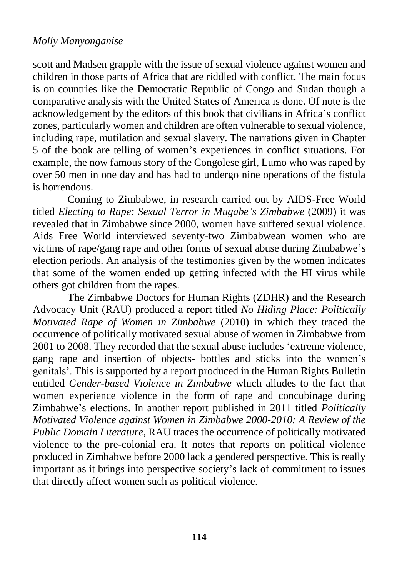scott and Madsen grapple with the issue of sexual violence against women and children in those parts of Africa that are riddled with conflict. The main focus is on countries like the Democratic Republic of Congo and Sudan though a comparative analysis with the United States of America is done. Of note is the acknowledgement by the editors of this book that civilians in Africa's conflict zones, particularly women and children are often vulnerable to sexual violence, including rape, mutilation and sexual slavery. The narrations given in Chapter 5 of the book are telling of women's experiences in conflict situations. For example, the now famous story of the Congolese girl, Lumo who was raped by over 50 men in one day and has had to undergo nine operations of the fistula is horrendous.

Coming to Zimbabwe, in research carried out by AIDS-Free World titled *Electing to Rape: Sexual Terror in Mugabe's Zimbabwe* (2009) it was revealed that in Zimbabwe since 2000, women have suffered sexual violence. Aids Free World interviewed seventy-two Zimbabwean women who are victims of rape/gang rape and other forms of sexual abuse during Zimbabwe's election periods. An analysis of the testimonies given by the women indicates that some of the women ended up getting infected with the HI virus while others got children from the rapes.

The Zimbabwe Doctors for Human Rights (ZDHR) and the Research Advocacy Unit (RAU) produced a report titled *No Hiding Place: Politically Motivated Rape of Women in Zimbabwe* (2010) in which they traced the occurrence of politically motivated sexual abuse of women in Zimbabwe from 2001 to 2008. They recorded that the sexual abuse includes 'extreme violence, gang rape and insertion of objects- bottles and sticks into the women's genitals'. This is supported by a report produced in the Human Rights Bulletin entitled *Gender-based Violence in Zimbabwe* which alludes to the fact that women experience violence in the form of rape and concubinage during Zimbabwe's elections. In another report published in 2011 titled *Politically Motivated Violence against Women in Zimbabwe 2000-2010: A Review of the Public Domain Literature,* RAU traces the occurrence of politically motivated violence to the pre-colonial era. It notes that reports on political violence produced in Zimbabwe before 2000 lack a gendered perspective. This is really important as it brings into perspective society's lack of commitment to issues that directly affect women such as political violence.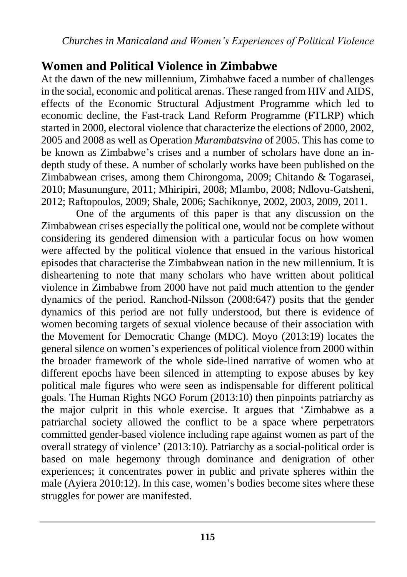*Churches in Manicaland and Women's Experiences of Political Violence*

### **Women and Political Violence in Zimbabwe**

At the dawn of the new millennium, Zimbabwe faced a number of challenges in the social, economic and political arenas. These ranged from HIV and AIDS, effects of the Economic Structural Adjustment Programme which led to economic decline, the Fast-track Land Reform Programme (FTLRP) which started in 2000, electoral violence that characterize the elections of 2000, 2002, 2005 and 2008 as well as Operation *Murambatsvina* of 2005. This has come to be known as Zimbabwe's crises and a number of scholars have done an indepth study of these. A number of scholarly works have been published on the Zimbabwean crises, among them Chirongoma, 2009; Chitando & Togarasei, 2010; Masunungure, 2011; Mhiripiri, 2008; Mlambo, 2008; Ndlovu-Gatsheni, 2012; Raftopoulos, 2009; Shale, 2006; Sachikonye, 2002, 2003, 2009, 2011.

One of the arguments of this paper is that any discussion on the Zimbabwean crises especially the political one, would not be complete without considering its gendered dimension with a particular focus on how women were affected by the political violence that ensued in the various historical episodes that characterise the Zimbabwean nation in the new millennium. It is disheartening to note that many scholars who have written about political violence in Zimbabwe from 2000 have not paid much attention to the gender dynamics of the period. Ranchod-Nilsson (2008:647) posits that the gender dynamics of this period are not fully understood, but there is evidence of women becoming targets of sexual violence because of their association with the Movement for Democratic Change (MDC). Moyo (2013:19) locates the general silence on women's experiences of political violence from 2000 within the broader framework of the whole side-lined narrative of women who at different epochs have been silenced in attempting to expose abuses by key political male figures who were seen as indispensable for different political goals. The Human Rights NGO Forum (2013:10) then pinpoints patriarchy as the major culprit in this whole exercise. It argues that 'Zimbabwe as a patriarchal society allowed the conflict to be a space where perpetrators committed gender-based violence including rape against women as part of the overall strategy of violence' (2013:10). Patriarchy as a social-political order is based on male hegemony through dominance and denigration of other experiences; it concentrates power in public and private spheres within the male (Ayiera 2010:12). In this case, women's bodies become sites where these struggles for power are manifested.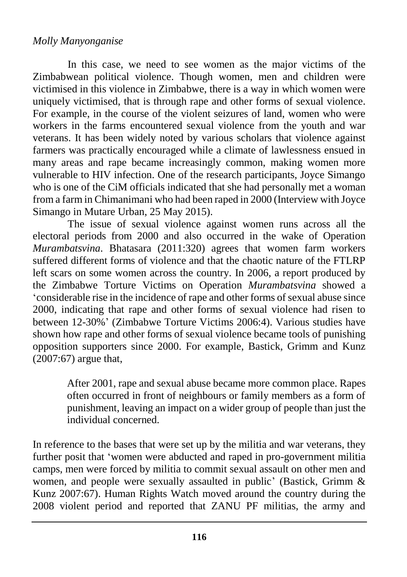In this case, we need to see women as the major victims of the Zimbabwean political violence. Though women, men and children were victimised in this violence in Zimbabwe, there is a way in which women were uniquely victimised, that is through rape and other forms of sexual violence. For example, in the course of the violent seizures of land, women who were workers in the farms encountered sexual violence from the youth and war veterans. It has been widely noted by various scholars that violence against farmers was practically encouraged while a climate of lawlessness ensued in many areas and rape became increasingly common, making women more vulnerable to HIV infection. One of the research participants, Joyce Simango who is one of the CiM officials indicated that she had personally met a woman from a farm in Chimanimani who had been raped in 2000 (Interview with Joyce Simango in Mutare Urban, 25 May 2015).

The issue of sexual violence against women runs across all the electoral periods from 2000 and also occurred in the wake of Operation *Murambatsvina*. Bhatasara (2011:320) agrees that women farm workers suffered different forms of violence and that the chaotic nature of the FTLRP left scars on some women across the country. In 2006, a report produced by the Zimbabwe Torture Victims on Operation *Murambatsvina* showed a 'considerable rise in the incidence of rape and other forms of sexual abuse since 2000, indicating that rape and other forms of sexual violence had risen to between 12-30%' (Zimbabwe Torture Victims 2006:4). Various studies have shown how rape and other forms of sexual violence became tools of punishing opposition supporters since 2000. For example, Bastick, Grimm and Kunz (2007:67) argue that,

> After 2001, rape and sexual abuse became more common place. Rapes often occurred in front of neighbours or family members as a form of punishment, leaving an impact on a wider group of people than just the individual concerned.

In reference to the bases that were set up by the militia and war veterans, they further posit that 'women were abducted and raped in pro-government militia camps, men were forced by militia to commit sexual assault on other men and women, and people were sexually assaulted in public' (Bastick, Grimm & Kunz 2007:67). Human Rights Watch moved around the country during the 2008 violent period and reported that ZANU PF militias, the army and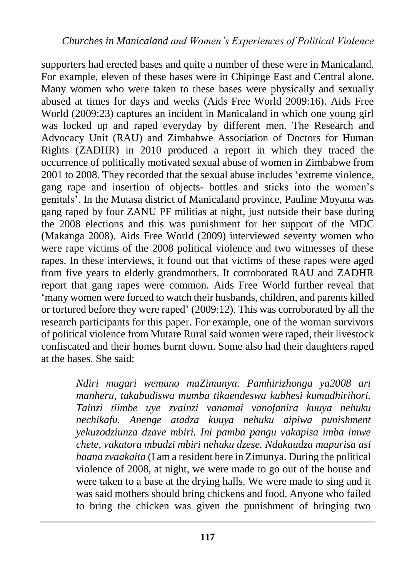supporters had erected bases and quite a number of these were in Manicaland. For example, eleven of these bases were in Chipinge East and Central alone. Many women who were taken to these bases were physically and sexually abused at times for days and weeks (Aids Free World 2009:16). Aids Free World (2009:23) captures an incident in Manicaland in which one young girl was locked up and raped everyday by different men. The Research and Advocacy Unit (RAU) and Zimbabwe Association of Doctors for Human Rights (ZADHR) in 2010 produced a report in which they traced the occurrence of politically motivated sexual abuse of women in Zimbabwe from 2001 to 2008. They recorded that the sexual abuse includes 'extreme violence, gang rape and insertion of objects- bottles and sticks into the women's genitals'. In the Mutasa district of Manicaland province, Pauline Moyana was gang raped by four ZANU PF militias at night, just outside their base during the 2008 elections and this was punishment for her support of the MDC (Makanga 2008). Aids Free World (2009) interviewed seventy women who were rape victims of the 2008 political violence and two witnesses of these rapes. In these interviews, it found out that victims of these rapes were aged from five years to elderly grandmothers. It corroborated RAU and ZADHR report that gang rapes were common. Aids Free World further reveal that 'many women were forced to watch their husbands, children, and parents killed or tortured before they were raped' (2009:12). This was corroborated by all the research participants for this paper. For example, one of the woman survivors of political violence from Mutare Rural said women were raped, their livestock confiscated and their homes burnt down. Some also had their daughters raped at the bases. She said:

> *Ndiri mugari wemuno maZimunya. Pamhirizhonga ya2008 ari manheru, takabudiswa mumba tikaendeswa kubhesi kumadhirihori. Tainzi tiimbe uye zvainzi vanamai vanofanira kuuya nehuku nechikafu. Anenge atadza kuuya nehuku aipiwa punishment yekuzodziunza dzave mbiri. Ini pamba pangu vakapisa imba imwe chete, vakatora mbudzi mbiri nehuku dzese. Ndakaudza mapurisa asi haana zvaakaita* (I am a resident here in Zimunya. During the political violence of 2008, at night, we were made to go out of the house and were taken to a base at the drying halls. We were made to sing and it was said mothers should bring chickens and food. Anyone who failed to bring the chicken was given the punishment of bringing two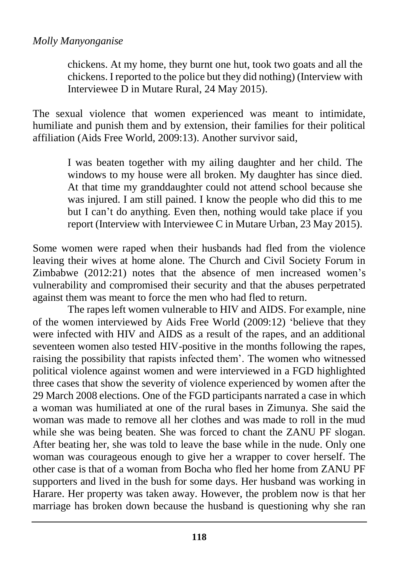chickens. At my home, they burnt one hut, took two goats and all the chickens. I reported to the police but they did nothing) (Interview with Interviewee D in Mutare Rural, 24 May 2015).

The sexual violence that women experienced was meant to intimidate, humiliate and punish them and by extension, their families for their political affiliation (Aids Free World, 2009:13). Another survivor said,

> I was beaten together with my ailing daughter and her child. The windows to my house were all broken. My daughter has since died. At that time my granddaughter could not attend school because she was injured. I am still pained. I know the people who did this to me but I can't do anything. Even then, nothing would take place if you report (Interview with Interviewee C in Mutare Urban, 23 May 2015).

Some women were raped when their husbands had fled from the violence leaving their wives at home alone. The Church and Civil Society Forum in Zimbabwe (2012:21) notes that the absence of men increased women's vulnerability and compromised their security and that the abuses perpetrated against them was meant to force the men who had fled to return.

The rapes left women vulnerable to HIV and AIDS. For example, nine of the women interviewed by Aids Free World (2009:12) 'believe that they were infected with HIV and AIDS as a result of the rapes, and an additional seventeen women also tested HIV-positive in the months following the rapes, raising the possibility that rapists infected them'. The women who witnessed political violence against women and were interviewed in a FGD highlighted three cases that show the severity of violence experienced by women after the 29 March 2008 elections. One of the FGD participants narrated a case in which a woman was humiliated at one of the rural bases in Zimunya. She said the woman was made to remove all her clothes and was made to roll in the mud while she was being beaten. She was forced to chant the ZANU PF slogan. After beating her, she was told to leave the base while in the nude. Only one woman was courageous enough to give her a wrapper to cover herself. The other case is that of a woman from Bocha who fled her home from ZANU PF supporters and lived in the bush for some days. Her husband was working in Harare. Her property was taken away. However, the problem now is that her marriage has broken down because the husband is questioning why she ran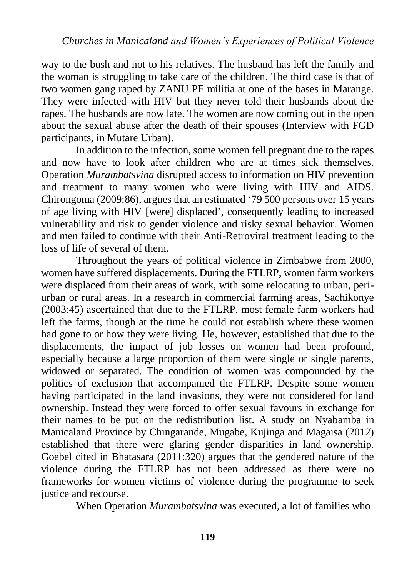way to the bush and not to his relatives. The husband has left the family and the woman is struggling to take care of the children. The third case is that of two women gang raped by ZANU PF militia at one of the bases in Marange. They were infected with HIV but they never told their husbands about the rapes. The husbands are now late. The women are now coming out in the open about the sexual abuse after the death of their spouses (Interview with FGD participants, in Mutare Urban).

In addition to the infection, some women fell pregnant due to the rapes and now have to look after children who are at times sick themselves. Operation *Murambatsvina* disrupted access to information on HIV prevention and treatment to many women who were living with HIV and AIDS. Chirongoma (2009:86), argues that an estimated '79 500 persons over 15 years of age living with HIV [were] displaced', consequently leading to increased vulnerability and risk to gender violence and risky sexual behavior. Women and men failed to continue with their Anti-Retroviral treatment leading to the loss of life of several of them.

Throughout the years of political violence in Zimbabwe from 2000, women have suffered displacements. During the FTLRP, women farm workers were displaced from their areas of work, with some relocating to urban, periurban or rural areas. In a research in commercial farming areas, Sachikonye (2003:45) ascertained that due to the FTLRP, most female farm workers had left the farms, though at the time he could not establish where these women had gone to or how they were living. He, however, established that due to the displacements, the impact of job losses on women had been profound, especially because a large proportion of them were single or single parents, widowed or separated. The condition of women was compounded by the politics of exclusion that accompanied the FTLRP. Despite some women having participated in the land invasions, they were not considered for land ownership. Instead they were forced to offer sexual favours in exchange for their names to be put on the redistribution list. A study on Nyabamba in Manicaland Province by Chingarande, Mugabe, Kujinga and Magaisa (2012) established that there were glaring gender disparities in land ownership. Goebel cited in Bhatasara (2011:320) argues that the gendered nature of the violence during the FTLRP has not been addressed as there were no frameworks for women victims of violence during the programme to seek justice and recourse.

When Operation *Murambatsvina* was executed, a lot of families who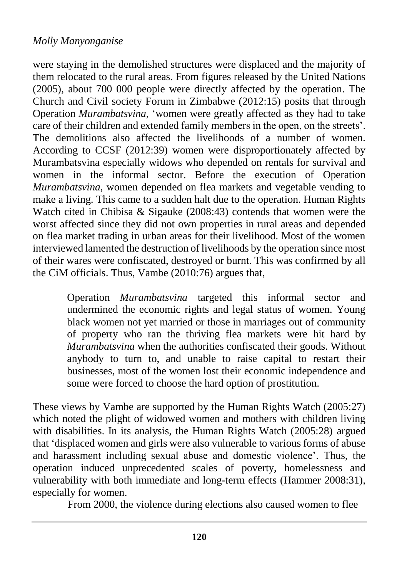were staying in the demolished structures were displaced and the majority of them relocated to the rural areas. From figures released by the United Nations (2005), about 700 000 people were directly affected by the operation. The Church and Civil society Forum in Zimbabwe (2012:15) posits that through Operation *Murambatsvina*, 'women were greatly affected as they had to take care of their children and extended family members in the open, on the streets'. The demolitions also affected the livelihoods of a number of women. According to CCSF (2012:39) women were disproportionately affected by Murambatsvina especially widows who depended on rentals for survival and women in the informal sector. Before the execution of Operation *Murambatsvina*, women depended on flea markets and vegetable vending to make a living. This came to a sudden halt due to the operation. Human Rights Watch cited in Chibisa & Sigauke (2008:43) contends that women were the worst affected since they did not own properties in rural areas and depended on flea market trading in urban areas for their livelihood. Most of the women interviewed lamented the destruction of livelihoods by the operation since most of their wares were confiscated, destroyed or burnt. This was confirmed by all the CiM officials. Thus, Vambe (2010:76) argues that,

> Operation *Murambatsvina* targeted this informal sector and undermined the economic rights and legal status of women. Young black women not yet married or those in marriages out of community of property who ran the thriving flea markets were hit hard by *Murambatsvina* when the authorities confiscated their goods. Without anybody to turn to, and unable to raise capital to restart their businesses, most of the women lost their economic independence and some were forced to choose the hard option of prostitution.

These views by Vambe are supported by the Human Rights Watch (2005:27) which noted the plight of widowed women and mothers with children living with disabilities. In its analysis, the Human Rights Watch (2005:28) argued that 'displaced women and girls were also vulnerable to various forms of abuse and harassment including sexual abuse and domestic violence'. Thus, the operation induced unprecedented scales of poverty, homelessness and vulnerability with both immediate and long-term effects (Hammer 2008:31), especially for women.

From 2000, the violence during elections also caused women to flee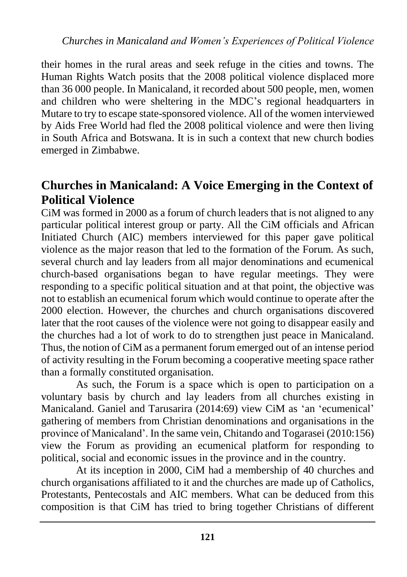their homes in the rural areas and seek refuge in the cities and towns. The Human Rights Watch posits that the 2008 political violence displaced more than 36 000 people. In Manicaland, it recorded about 500 people, men, women and children who were sheltering in the MDC's regional headquarters in Mutare to try to escape state-sponsored violence. All of the women interviewed by Aids Free World had fled the 2008 political violence and were then living in South Africa and Botswana. It is in such a context that new church bodies emerged in Zimbabwe.

### **Churches in Manicaland: A Voice Emerging in the Context of Political Violence**

CiM was formed in 2000 as a forum of church leaders that is not aligned to any particular political interest group or party. All the CiM officials and African Initiated Church (AIC) members interviewed for this paper gave political violence as the major reason that led to the formation of the Forum. As such, several church and lay leaders from all major denominations and ecumenical church-based organisations began to have regular meetings. They were responding to a specific political situation and at that point, the objective was not to establish an ecumenical forum which would continue to operate after the 2000 election. However, the churches and church organisations discovered later that the root causes of the violence were not going to disappear easily and the churches had a lot of work to do to strengthen just peace in Manicaland. Thus, the notion of CiM as a permanent forum emerged out of an intense period of activity resulting in the Forum becoming a cooperative meeting space rather than a formally constituted organisation.

As such, the Forum is a space which is open to participation on a voluntary basis by church and lay leaders from all churches existing in Manicaland. Ganiel and Tarusarira (2014:69) view CiM as 'an 'ecumenical' gathering of members from Christian denominations and organisations in the province of Manicaland'. In the same vein, Chitando and Togarasei (2010:156) view the Forum as providing an ecumenical platform for responding to political, social and economic issues in the province and in the country.

At its inception in 2000, CiM had a membership of 40 churches and church organisations affiliated to it and the churches are made up of Catholics, Protestants, Pentecostals and AIC members. What can be deduced from this composition is that CiM has tried to bring together Christians of different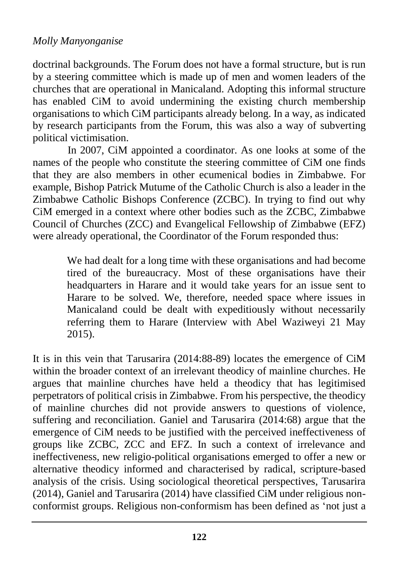doctrinal backgrounds. The Forum does not have a formal structure, but is run by a steering committee which is made up of men and women leaders of the churches that are operational in Manicaland. Adopting this informal structure has enabled CiM to avoid undermining the existing church membership organisations to which CiM participants already belong. In a way, as indicated by research participants from the Forum, this was also a way of subverting political victimisation.

In 2007, CiM appointed a coordinator. As one looks at some of the names of the people who constitute the steering committee of CiM one finds that they are also members in other ecumenical bodies in Zimbabwe. For example, Bishop Patrick Mutume of the Catholic Church is also a leader in the Zimbabwe Catholic Bishops Conference (ZCBC). In trying to find out why CiM emerged in a context where other bodies such as the ZCBC, Zimbabwe Council of Churches (ZCC) and Evangelical Fellowship of Zimbabwe (EFZ) were already operational, the Coordinator of the Forum responded thus:

> We had dealt for a long time with these organisations and had become tired of the bureaucracy. Most of these organisations have their headquarters in Harare and it would take years for an issue sent to Harare to be solved. We, therefore, needed space where issues in Manicaland could be dealt with expeditiously without necessarily referring them to Harare (Interview with Abel Waziweyi 21 May 2015).

It is in this vein that Tarusarira (2014:88-89) locates the emergence of CiM within the broader context of an irrelevant theodicy of mainline churches. He argues that mainline churches have held a theodicy that has legitimised perpetrators of political crisis in Zimbabwe. From his perspective, the theodicy of mainline churches did not provide answers to questions of violence, suffering and reconciliation. Ganiel and Tarusarira (2014:68) argue that the emergence of CiM needs to be justified with the perceived ineffectiveness of groups like ZCBC, ZCC and EFZ. In such a context of irrelevance and ineffectiveness, new religio-political organisations emerged to offer a new or alternative theodicy informed and characterised by radical, scripture-based analysis of the crisis. Using sociological theoretical perspectives, Tarusarira (2014), Ganiel and Tarusarira (2014) have classified CiM under religious nonconformist groups. Religious non-conformism has been defined as 'not just a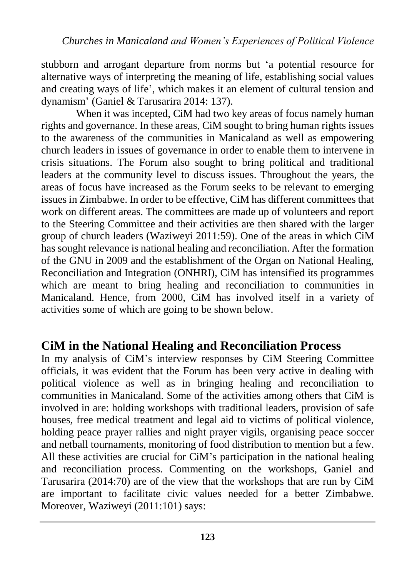stubborn and arrogant departure from norms but 'a potential resource for alternative ways of interpreting the meaning of life, establishing social values and creating ways of life', which makes it an element of cultural tension and dynamism' (Ganiel & Tarusarira 2014: 137).

When it was incepted, CiM had two key areas of focus namely human rights and governance. In these areas, CiM sought to bring human rights issues to the awareness of the communities in Manicaland as well as empowering church leaders in issues of governance in order to enable them to intervene in crisis situations. The Forum also sought to bring political and traditional leaders at the community level to discuss issues. Throughout the years, the areas of focus have increased as the Forum seeks to be relevant to emerging issues in Zimbabwe. In order to be effective, CiM has different committees that work on different areas. The committees are made up of volunteers and report to the Steering Committee and their activities are then shared with the larger group of church leaders (Waziweyi 2011:59). One of the areas in which CiM has sought relevance is national healing and reconciliation. After the formation of the GNU in 2009 and the establishment of the Organ on National Healing, Reconciliation and Integration (ONHRI), CiM has intensified its programmes which are meant to bring healing and reconciliation to communities in Manicaland. Hence, from 2000, CiM has involved itself in a variety of activities some of which are going to be shown below.

### **CiM in the National Healing and Reconciliation Process**

In my analysis of CiM's interview responses by CiM Steering Committee officials, it was evident that the Forum has been very active in dealing with political violence as well as in bringing healing and reconciliation to communities in Manicaland. Some of the activities among others that CiM is involved in are: holding workshops with traditional leaders, provision of safe houses, free medical treatment and legal aid to victims of political violence, holding peace prayer rallies and night prayer vigils, organising peace soccer and netball tournaments, monitoring of food distribution to mention but a few. All these activities are crucial for CiM's participation in the national healing and reconciliation process. Commenting on the workshops, Ganiel and Tarusarira (2014:70) are of the view that the workshops that are run by CiM are important to facilitate civic values needed for a better Zimbabwe. Moreover, Waziweyi (2011:101) says: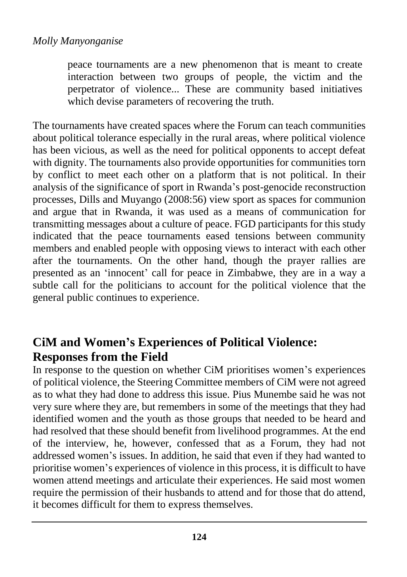peace tournaments are a new phenomenon that is meant to create interaction between two groups of people, the victim and the perpetrator of violence... These are community based initiatives which devise parameters of recovering the truth.

The tournaments have created spaces where the Forum can teach communities about political tolerance especially in the rural areas, where political violence has been vicious, as well as the need for political opponents to accept defeat with dignity. The tournaments also provide opportunities for communities torn by conflict to meet each other on a platform that is not political. In their analysis of the significance of sport in Rwanda's post-genocide reconstruction processes, Dills and Muyango (2008:56) view sport as spaces for communion and argue that in Rwanda, it was used as a means of communication for transmitting messages about a culture of peace. FGD participants for this study indicated that the peace tournaments eased tensions between community members and enabled people with opposing views to interact with each other after the tournaments. On the other hand, though the prayer rallies are presented as an 'innocent' call for peace in Zimbabwe, they are in a way a subtle call for the politicians to account for the political violence that the general public continues to experience.

# **CiM and Women's Experiences of Political Violence: Responses from the Field**

In response to the question on whether CiM prioritises women's experiences of political violence, the Steering Committee members of CiM were not agreed as to what they had done to address this issue. Pius Munembe said he was not very sure where they are, but remembers in some of the meetings that they had identified women and the youth as those groups that needed to be heard and had resolved that these should benefit from livelihood programmes. At the end of the interview, he, however, confessed that as a Forum, they had not addressed women's issues. In addition, he said that even if they had wanted to prioritise women's experiences of violence in this process, it is difficult to have women attend meetings and articulate their experiences. He said most women require the permission of their husbands to attend and for those that do attend, it becomes difficult for them to express themselves.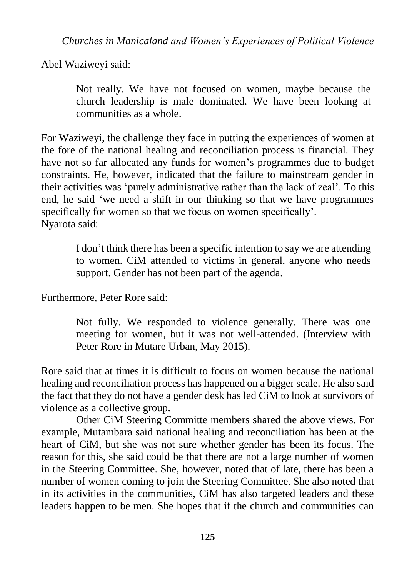*Churches in Manicaland and Women's Experiences of Political Violence*

Abel Waziweyi said:

Not really. We have not focused on women, maybe because the church leadership is male dominated. We have been looking at communities as a whole.

For Waziweyi, the challenge they face in putting the experiences of women at the fore of the national healing and reconciliation process is financial. They have not so far allocated any funds for women's programmes due to budget constraints. He, however, indicated that the failure to mainstream gender in their activities was 'purely administrative rather than the lack of zeal'. To this end, he said 'we need a shift in our thinking so that we have programmes specifically for women so that we focus on women specifically'. Nyarota said:

> I don't think there has been a specific intention to say we are attending to women. CiM attended to victims in general, anyone who needs support. Gender has not been part of the agenda.

Furthermore, Peter Rore said:

Not fully. We responded to violence generally. There was one meeting for women, but it was not well-attended. (Interview with Peter Rore in Mutare Urban, May 2015).

Rore said that at times it is difficult to focus on women because the national healing and reconciliation process has happened on a bigger scale. He also said the fact that they do not have a gender desk has led CiM to look at survivors of violence as a collective group.

Other CiM Steering Committe members shared the above views. For example, Mutambara said national healing and reconciliation has been at the heart of CiM, but she was not sure whether gender has been its focus. The reason for this, she said could be that there are not a large number of women in the Steering Committee. She, however, noted that of late, there has been a number of women coming to join the Steering Committee. She also noted that in its activities in the communities, CiM has also targeted leaders and these leaders happen to be men. She hopes that if the church and communities can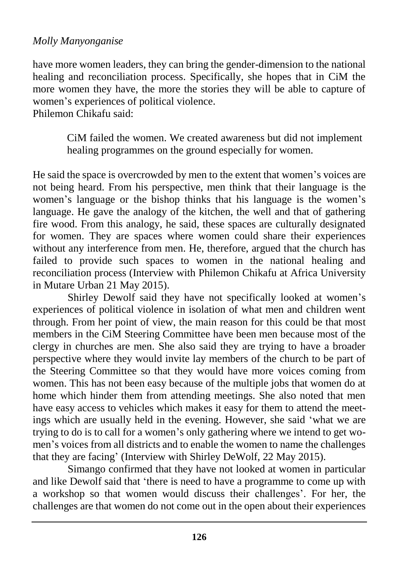have more women leaders, they can bring the gender-dimension to the national healing and reconciliation process. Specifically, she hopes that in CiM the more women they have, the more the stories they will be able to capture of women's experiences of political violence.

Philemon Chikafu said:

CiM failed the women. We created awareness but did not implement healing programmes on the ground especially for women.

He said the space is overcrowded by men to the extent that women's voices are not being heard. From his perspective, men think that their language is the women's language or the bishop thinks that his language is the women's language. He gave the analogy of the kitchen, the well and that of gathering fire wood. From this analogy, he said, these spaces are culturally designated for women. They are spaces where women could share their experiences without any interference from men. He, therefore, argued that the church has failed to provide such spaces to women in the national healing and reconciliation process (Interview with Philemon Chikafu at Africa University in Mutare Urban 21 May 2015).

Shirley Dewolf said they have not specifically looked at women's experiences of political violence in isolation of what men and children went through. From her point of view, the main reason for this could be that most members in the CiM Steering Committee have been men because most of the clergy in churches are men. She also said they are trying to have a broader perspective where they would invite lay members of the church to be part of the Steering Committee so that they would have more voices coming from women. This has not been easy because of the multiple jobs that women do at home which hinder them from attending meetings. She also noted that men have easy access to vehicles which makes it easy for them to attend the meetings which are usually held in the evening. However, she said 'what we are trying to do is to call for a women's only gathering where we intend to get women's voices from all districts and to enable the women to name the challenges that they are facing' (Interview with Shirley DeWolf, 22 May 2015).

Simango confirmed that they have not looked at women in particular and like Dewolf said that 'there is need to have a programme to come up with a workshop so that women would discuss their challenges'. For her, the challenges are that women do not come out in the open about their experiences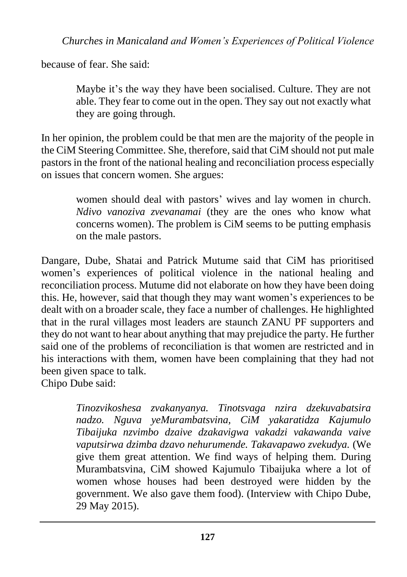because of fear. She said:

Maybe it's the way they have been socialised. Culture. They are not able. They fear to come out in the open. They say out not exactly what they are going through.

In her opinion, the problem could be that men are the majority of the people in the CiM Steering Committee. She, therefore, said that CiM should not put male pastors in the front of the national healing and reconciliation process especially on issues that concern women. She argues:

> women should deal with pastors' wives and lay women in church. *Ndivo vanoziva zvevanamai* (they are the ones who know what concerns women). The problem is CiM seems to be putting emphasis on the male pastors.

Dangare, Dube, Shatai and Patrick Mutume said that CiM has prioritised women's experiences of political violence in the national healing and reconciliation process. Mutume did not elaborate on how they have been doing this. He, however, said that though they may want women's experiences to be dealt with on a broader scale, they face a number of challenges. He highlighted that in the rural villages most leaders are staunch ZANU PF supporters and they do not want to hear about anything that may prejudice the party. He further said one of the problems of reconciliation is that women are restricted and in his interactions with them, women have been complaining that they had not been given space to talk.

Chipo Dube said:

*Tinozvikoshesa zvakanyanya. Tinotsvaga nzira dzekuvabatsira nadzo. Nguva yeMurambatsvina, CiM yakaratidza Kajumulo Tibaijuka nzvimbo dzaive dzakavigwa vakadzi vakawanda vaive vaputsirwa dzimba dzavo nehurumende. Takavapawo zvekudya.* (We give them great attention. We find ways of helping them. During Murambatsvina, CiM showed Kajumulo Tibaijuka where a lot of women whose houses had been destroyed were hidden by the government. We also gave them food). (Interview with Chipo Dube, 29 May 2015).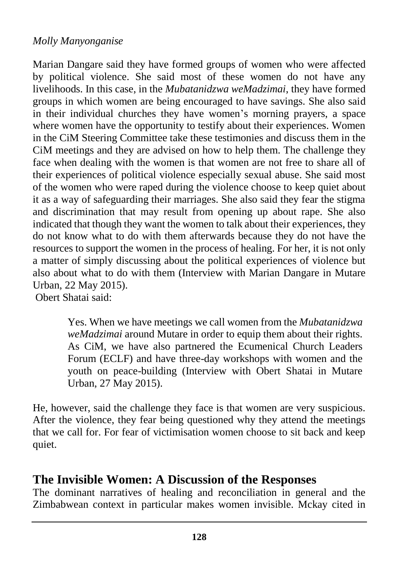Marian Dangare said they have formed groups of women who were affected by political violence. She said most of these women do not have any livelihoods. In this case, in the *Mubatanidzwa weMadzimai*, they have formed groups in which women are being encouraged to have savings. She also said in their individual churches they have women's morning prayers, a space where women have the opportunity to testify about their experiences. Women in the CiM Steering Committee take these testimonies and discuss them in the CiM meetings and they are advised on how to help them. The challenge they face when dealing with the women is that women are not free to share all of their experiences of political violence especially sexual abuse. She said most of the women who were raped during the violence choose to keep quiet about it as a way of safeguarding their marriages. She also said they fear the stigma and discrimination that may result from opening up about rape. She also indicated that though they want the women to talk about their experiences, they do not know what to do with them afterwards because they do not have the resources to support the women in the process of healing. For her, it is not only a matter of simply discussing about the political experiences of violence but also about what to do with them (Interview with Marian Dangare in Mutare Urban, 22 May 2015).

Obert Shatai said:

Yes. When we have meetings we call women from the *Mubatanidzwa weMadzimai* around Mutare in order to equip them about their rights. As CiM, we have also partnered the Ecumenical Church Leaders Forum (ECLF) and have three-day workshops with women and the youth on peace-building (Interview with Obert Shatai in Mutare Urban, 27 May 2015).

He, however, said the challenge they face is that women are very suspicious. After the violence, they fear being questioned why they attend the meetings that we call for. For fear of victimisation women choose to sit back and keep quiet.

### **The Invisible Women: A Discussion of the Responses**

The dominant narratives of healing and reconciliation in general and the Zimbabwean context in particular makes women invisible. Mckay cited in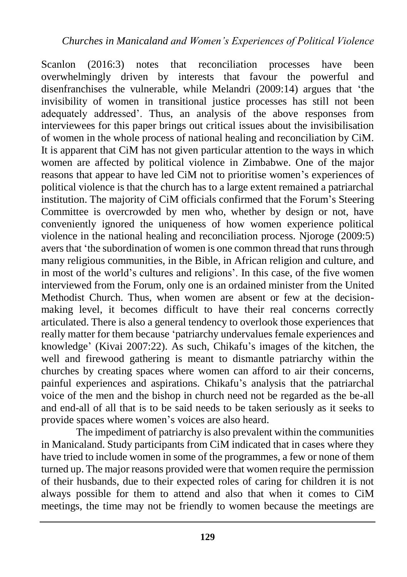Scanlon (2016:3) notes that reconciliation processes have been overwhelmingly driven by interests that favour the powerful and disenfranchises the vulnerable, while Melandri (2009:14) argues that 'the invisibility of women in transitional justice processes has still not been adequately addressed'. Thus, an analysis of the above responses from interviewees for this paper brings out critical issues about the invisibilisation of women in the whole process of national healing and reconciliation by CiM. It is apparent that CiM has not given particular attention to the ways in which women are affected by political violence in Zimbabwe. One of the major reasons that appear to have led CiM not to prioritise women's experiences of political violence is that the church has to a large extent remained a patriarchal institution. The majority of CiM officials confirmed that the Forum's Steering Committee is overcrowded by men who, whether by design or not, have conveniently ignored the uniqueness of how women experience political violence in the national healing and reconciliation process. Njoroge (2009:5) avers that 'the subordination of women is one common thread that runs through many religious communities, in the Bible, in African religion and culture, and in most of the world's cultures and religions'. In this case, of the five women interviewed from the Forum, only one is an ordained minister from the United Methodist Church. Thus, when women are absent or few at the decisionmaking level, it becomes difficult to have their real concerns correctly articulated. There is also a general tendency to overlook those experiences that really matter for them because 'patriarchy undervalues female experiences and knowledge' (Kivai 2007:22). As such, Chikafu's images of the kitchen, the well and firewood gathering is meant to dismantle patriarchy within the churches by creating spaces where women can afford to air their concerns, painful experiences and aspirations. Chikafu's analysis that the patriarchal voice of the men and the bishop in church need not be regarded as the be-all and end-all of all that is to be said needs to be taken seriously as it seeks to provide spaces where women's voices are also heard.

The impediment of patriarchy is also prevalent within the communities in Manicaland. Study participants from CiM indicated that in cases where they have tried to include women in some of the programmes, a few or none of them turned up. The major reasons provided were that women require the permission of their husbands, due to their expected roles of caring for children it is not always possible for them to attend and also that when it comes to CiM meetings, the time may not be friendly to women because the meetings are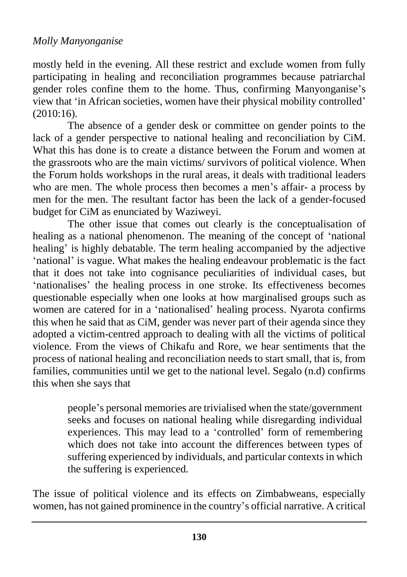mostly held in the evening. All these restrict and exclude women from fully participating in healing and reconciliation programmes because patriarchal gender roles confine them to the home. Thus, confirming Manyonganise's view that 'in African societies, women have their physical mobility controlled' (2010:16).

The absence of a gender desk or committee on gender points to the lack of a gender perspective to national healing and reconciliation by CiM. What this has done is to create a distance between the Forum and women at the grassroots who are the main victims/ survivors of political violence. When the Forum holds workshops in the rural areas, it deals with traditional leaders who are men. The whole process then becomes a men's affair- a process by men for the men. The resultant factor has been the lack of a gender-focused budget for CiM as enunciated by Waziweyi.

The other issue that comes out clearly is the conceptualisation of healing as a national phenomenon. The meaning of the concept of 'national healing' is highly debatable. The term healing accompanied by the adjective 'national' is vague. What makes the healing endeavour problematic is the fact that it does not take into cognisance peculiarities of individual cases, but 'nationalises' the healing process in one stroke. Its effectiveness becomes questionable especially when one looks at how marginalised groups such as women are catered for in a 'nationalised' healing process. Nyarota confirms this when he said that as CiM, gender was never part of their agenda since they adopted a victim-centred approach to dealing with all the victims of political violence. From the views of Chikafu and Rore, we hear sentiments that the process of national healing and reconciliation needs to start small, that is, from families, communities until we get to the national level. Segalo (n.d) confirms this when she says that

> people's personal memories are trivialised when the state/government seeks and focuses on national healing while disregarding individual experiences. This may lead to a 'controlled' form of remembering which does not take into account the differences between types of suffering experienced by individuals, and particular contexts in which the suffering is experienced.

The issue of political violence and its effects on Zimbabweans, especially women, has not gained prominence in the country's official narrative. A critical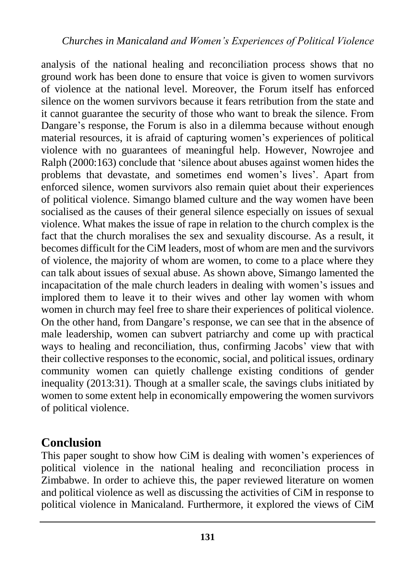analysis of the national healing and reconciliation process shows that no ground work has been done to ensure that voice is given to women survivors of violence at the national level. Moreover, the Forum itself has enforced silence on the women survivors because it fears retribution from the state and it cannot guarantee the security of those who want to break the silence. From Dangare's response, the Forum is also in a dilemma because without enough material resources, it is afraid of capturing women's experiences of political violence with no guarantees of meaningful help. However, Nowrojee and Ralph (2000:163) conclude that 'silence about abuses against women hides the problems that devastate, and sometimes end women's lives'. Apart from enforced silence, women survivors also remain quiet about their experiences of political violence. Simango blamed culture and the way women have been socialised as the causes of their general silence especially on issues of sexual violence. What makes the issue of rape in relation to the church complex is the fact that the church moralises the sex and sexuality discourse. As a result, it becomes difficult for the CiM leaders, most of whom are men and the survivors of violence, the majority of whom are women, to come to a place where they can talk about issues of sexual abuse. As shown above, Simango lamented the incapacitation of the male church leaders in dealing with women's issues and implored them to leave it to their wives and other lay women with whom women in church may feel free to share their experiences of political violence. On the other hand, from Dangare's response, we can see that in the absence of male leadership, women can subvert patriarchy and come up with practical ways to healing and reconciliation, thus, confirming Jacobs' view that with their collective responses to the economic, social, and political issues, ordinary community women can quietly challenge existing conditions of gender inequality (2013:31). Though at a smaller scale, the savings clubs initiated by women to some extent help in economically empowering the women survivors of political violence.

### **Conclusion**

This paper sought to show how CiM is dealing with women's experiences of political violence in the national healing and reconciliation process in Zimbabwe. In order to achieve this, the paper reviewed literature on women and political violence as well as discussing the activities of CiM in response to political violence in Manicaland. Furthermore, it explored the views of CiM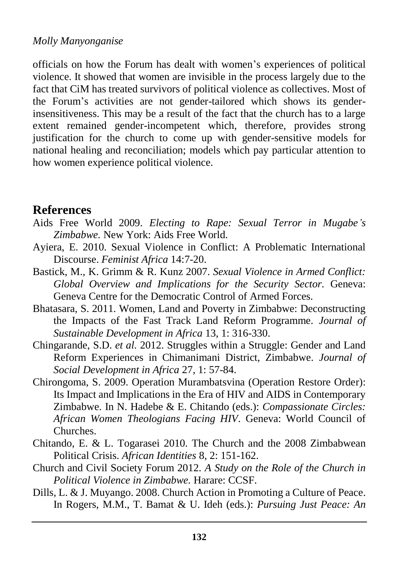officials on how the Forum has dealt with women's experiences of political violence. It showed that women are invisible in the process largely due to the fact that CiM has treated survivors of political violence as collectives. Most of the Forum's activities are not gender-tailored which shows its genderinsensitiveness. This may be a result of the fact that the church has to a large extent remained gender-incompetent which, therefore, provides strong justification for the church to come up with gender-sensitive models for national healing and reconciliation; models which pay particular attention to how women experience political violence.

### **References**

- Aids Free World 2009. *Electing to Rape: Sexual Terror in Mugabe's Zimbabwe.* New York: Aids Free World.
- Ayiera, E. 2010. Sexual Violence in Conflict: A Problematic International Discourse. *Feminist Africa* 14:7-20.
- Bastick, M., K. Grimm & R. Kunz 2007. *Sexual Violence in Armed Conflict: Global Overview and Implications for the Security Sector.* Geneva: Geneva Centre for the Democratic Control of Armed Forces.
- Bhatasara, S. 2011. Women, Land and Poverty in Zimbabwe: Deconstructing the Impacts of the Fast Track Land Reform Programme. *Journal of Sustainable Development in Africa* 13, 1: 316-330.
- Chingarande, S.D. *et al.* 2012. Struggles within a Struggle: Gender and Land Reform Experiences in Chimanimani District, Zimbabwe. *Journal of Social Development in Africa* 27, 1: 57-84.
- Chirongoma, S. 2009. Operation Murambatsvina (Operation Restore Order): Its Impact and Implications in the Era of HIV and AIDS in Contemporary Zimbabwe. In N. Hadebe & E. Chitando (eds.): *Compassionate Circles: African Women Theologians Facing HIV*. Geneva: World Council of Churches.
- Chitando, E. & L. Togarasei 2010. The Church and the 2008 Zimbabwean Political Crisis. *African Identities* 8, 2: 151-162.
- Church and Civil Society Forum 2012. *A Study on the Role of the Church in Political Violence in Zimbabwe.* Harare: CCSF.
- Dills, L. & J. Muyango. 2008. Church Action in Promoting a Culture of Peace. In Rogers, M.M., T. Bamat & U. Ideh (eds.): *Pursuing Just Peace: An*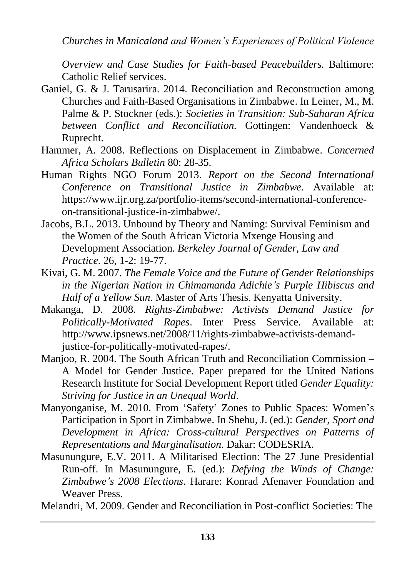*Overview and Case Studies for Faith-based Peacebuilders.* Baltimore: Catholic Relief services.

- Ganiel, G. & J. Tarusarira. 2014. Reconciliation and Reconstruction among Churches and Faith-Based Organisations in Zimbabwe. In Leiner, M., M. Palme & P. Stockner (eds.): *Societies in Transition: Sub-Saharan Africa between Conflict and Reconciliation.* Gottingen: Vandenhoeck & Ruprecht.
- Hammer, A. 2008. Reflections on Displacement in Zimbabwe. *Concerned Africa Scholars Bulletin* 80: 28-35.
- Human Rights NGO Forum 2013. *Report on the Second International Conference on Transitional Justice in Zimbabwe.* Available at: https://www.ijr.org.za/portfolio-items/second-international-conferenceon-transitional-justice-in-zimbabwe/.
- Jacobs, B.L. 2013. Unbound by Theory and Naming: Survival Feminism and the Women of the South African Victoria Mxenge Housing and Development Association. *Berkeley Journal of Gender, Law and Practice*. 26, 1-2: 19-77.
- Kivai, G. M. 2007. *The Female Voice and the Future of Gender Relationships in the Nigerian Nation in Chimamanda Adichie's Purple Hibiscus and Half of a Yellow Sun.* Master of Arts Thesis. Kenyatta University.
- Makanga, D. 2008. *Rights-Zimbabwe: Activists Demand Justice for Politically-Motivated Rapes*. Inter Press Service. Available at: http://www.ipsnews.net/2008/11/rights-zimbabwe-activists-demandjustice-for-politically-motivated-rapes/.
- Manjoo, R. 2004. The South African Truth and Reconciliation Commission A Model for Gender Justice. Paper prepared for the United Nations Research Institute for Social Development Report titled *Gender Equality: Striving for Justice in an Unequal World*.
- Manyonganise, M. 2010. From 'Safety' Zones to Public Spaces: Women's Participation in Sport in Zimbabwe. In Shehu, J. (ed.): *Gender, Sport and Development in Africa: Cross-cultural Perspectives on Patterns of Representations and Marginalisation*. Dakar: CODESRIA.
- Masunungure, E.V. 2011. A Militarised Election: The 27 June Presidential Run-off. In Masunungure, E. (ed.): *Defying the Winds of Change: Zimbabwe's 2008 Elections*. Harare: Konrad Afenaver Foundation and Weaver Press.

Melandri, M. 2009. Gender and Reconciliation in Post-conflict Societies: The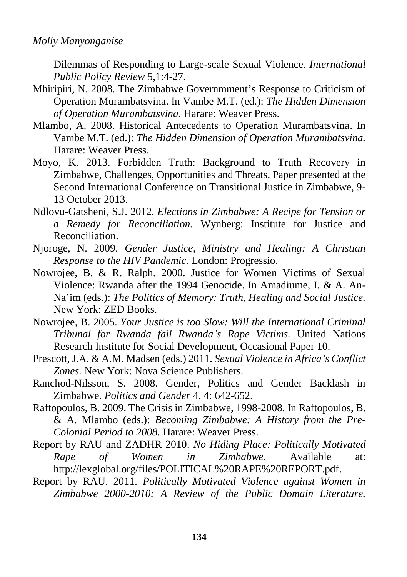Dilemmas of Responding to Large-scale Sexual Violence. *International Public Policy Review* 5,1:4-27.

- Mhiripiri, N. 2008. The Zimbabwe Governmment's Response to Criticism of Operation Murambatsvina. In Vambe M.T. (ed.): *The Hidden Dimension of Operation Murambatsvina.* Harare: Weaver Press.
- Mlambo, A. 2008. Historical Antecedents to Operation Murambatsvina. In Vambe M.T. (ed.): *The Hidden Dimension of Operation Murambatsvina.* Harare: Weaver Press.
- Moyo, K. 2013. Forbidden Truth: Background to Truth Recovery in Zimbabwe, Challenges, Opportunities and Threats. Paper presented at the Second International Conference on Transitional Justice in Zimbabwe, 9- 13 October 2013.
- Ndlovu-Gatsheni, S.J. 2012. *Elections in Zimbabwe: A Recipe for Tension or a Remedy for Reconciliation.* Wynberg: Institute for Justice and Reconciliation.
- Njoroge, N. 2009. *Gender Justice, Ministry and Healing: A Christian Response to the HIV Pandemic.* London: Progressio.
- Nowrojee, B. & R. Ralph. 2000. Justice for Women Victims of Sexual Violence: Rwanda after the 1994 Genocide. In Amadiume, I. & A. An-Na'im (eds.): *The Politics of Memory: Truth, Healing and Social Justice.*  New York: ZED Books.
- Nowrojee, B. 2005. *Your Justice is too Slow: Will the International Criminal Tribunal for Rwanda fail Rwanda's Rape Victims.* United Nations Research Institute for Social Development, Occasional Paper 10.
- Prescott, J.A. & A.M. Madsen (eds.) 2011. *Sexual Violence in Africa's Conflict Zones.* New York: Nova Science Publishers.
- Ranchod-Nilsson, S. 2008. Gender, Politics and Gender Backlash in Zimbabwe. *Politics and Gender* 4, 4: 642-652.
- Raftopoulos, B. 2009. The Crisis in Zimbabwe, 1998-2008. In Raftopoulos, B. & A. Mlambo (eds.): *Becoming Zimbabwe: A History from the Pre-Colonial Period to 2008.* Harare: Weaver Press.
- Report by RAU and ZADHR 2010. *No Hiding Place: Politically Motivated Rape of Women in Zimbabwe.* Available at: [http://lexglobal.org/files/POLITICAL%20RAPE%20REPORT.pdf.](http://lexglobal.org/files/POLITICAL%20RAPE%20REPORT.pdf)
- Report by RAU. 2011. *Politically Motivated Violence against Women in Zimbabwe 2000-2010: A Review of the Public Domain Literature.*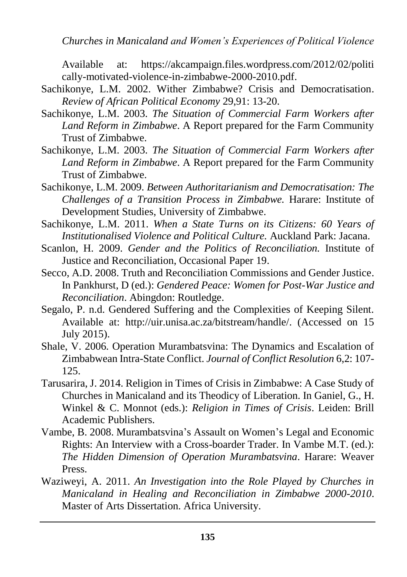*Churches in Manicaland and Women's Experiences of Political Violence*

Available at: [https://akcampaign.files.wordpress.com/2012/02/politi](https://akcampaign.files.wordpress.com/2012/02/politi%20cally-motivated-violence-in-zimbabwe-2000-2010.pdf)  [cally-motivated-violence-in-zimbabwe-2000-2010.pdf.](https://akcampaign.files.wordpress.com/2012/02/politi%20cally-motivated-violence-in-zimbabwe-2000-2010.pdf)

- Sachikonye, L.M. 2002. Wither Zimbabwe? Crisis and Democratisation. *Review of African Political Economy* 29,91: 13-20.
- Sachikonye, L.M. 2003. *The Situation of Commercial Farm Workers after Land Reform in Zimbabwe*. A Report prepared for the Farm Community Trust of Zimbabwe.
- Sachikonye, L.M. 2003. *The Situation of Commercial Farm Workers after Land Reform in Zimbabwe*. A Report prepared for the Farm Community Trust of Zimbabwe.
- Sachikonye, L.M. 2009. *Between Authoritarianism and Democratisation: The Challenges of a Transition Process in Zimbabwe.* Harare: Institute of Development Studies, University of Zimbabwe.
- Sachikonye, L.M. 2011. *When a State Turns on its Citizens: 60 Years of Institutionalised Violence and Political Culture.* Auckland Park: Jacana.
- Scanlon, H. 2009. *Gender and the Politics of Reconciliation.* Institute of Justice and Reconciliation, Occasional Paper 19.
- Secco, A.D. 2008. Truth and Reconciliation Commissions and Gender Justice. In Pankhurst, D (ed.): *Gendered Peace: Women for Post-War Justice and Reconciliation*. Abingdon: Routledge.
- Segalo, P. n.d. Gendered Suffering and the Complexities of Keeping Silent. Available at: [http://uir.unisa.ac.za/bitstream/handle/.](http://uir.unisa.ac.za/bitstream/handle/) (Accessed on 15 July 2015).
- Shale, V. 2006. Operation Murambatsvina: The Dynamics and Escalation of Zimbabwean Intra-State Conflict. *Journal of Conflict Resolution* 6,2: 107- 125.
- Tarusarira, J. 2014. Religion in Times of Crisis in Zimbabwe: A Case Study of Churches in Manicaland and its Theodicy of Liberation. In Ganiel, G., H. Winkel & C. Monnot (eds.): *Religion in Times of Crisis*. Leiden: Brill Academic Publishers.
- Vambe, B. 2008. Murambatsvina's Assault on Women's Legal and Economic Rights: An Interview with a Cross-boarder Trader. In Vambe M.T. (ed.): *The Hidden Dimension of Operation Murambatsvina*. Harare: Weaver Press.
- Waziweyi, A. 2011. *An Investigation into the Role Played by Churches in Manicaland in Healing and Reconciliation in Zimbabwe 2000-2010*. Master of Arts Dissertation. Africa University.